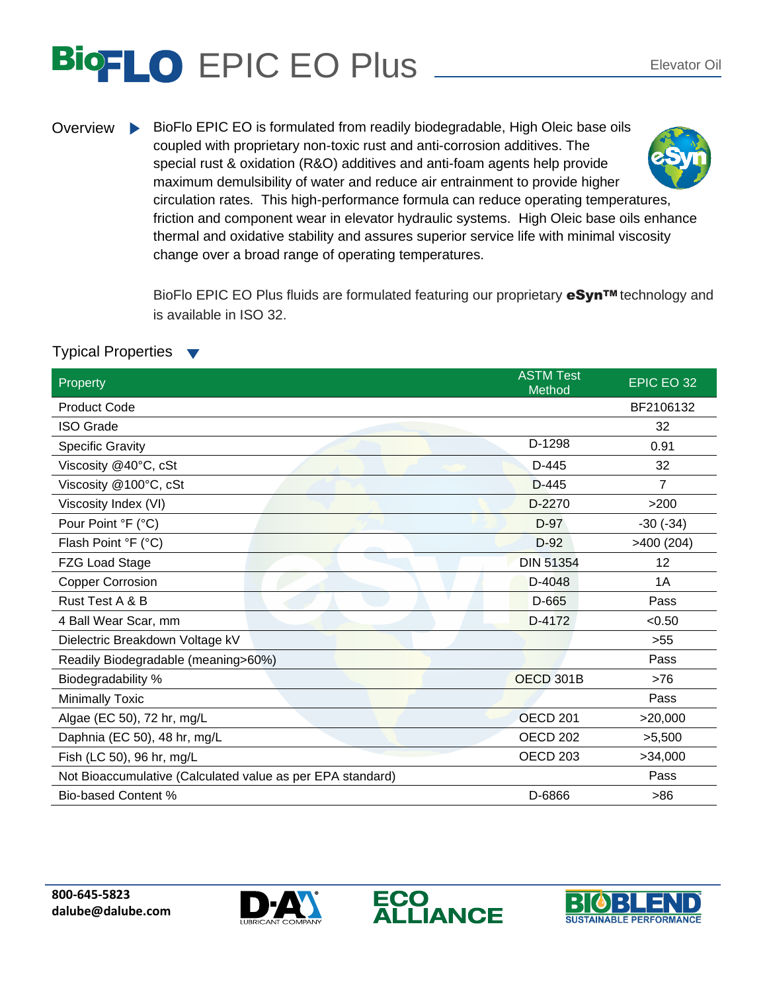## EPIC EO Plus Elevator Oil

Overview BioFlo EPIC EO is formulated from readily biodegradable, High Oleic base oils coupled with proprietary non-toxic rust and anti-corrosion additives. The special rust & oxidation (R&O) additives and anti-foam agents help provide maximum demulsibility of water and reduce air entrainment to provide higher circulation rates. This high-performance formula can reduce operating temperatures, friction and component wear in elevator hydraulic systems. High Oleic base oils enhance thermal and oxidative stability and assures superior service life with minimal viscosity change over a broad range of operating temperatures.

> BioFlo EPIC EO Plus fluids are formulated featuring our proprietary eSyn<sup>TM</sup> technology and is available in ISO 32.

## Typical Properties  $\blacktriangledown$

| Property                                                   | <b>ASTM Test</b><br>Method | EPIC EO 32     |
|------------------------------------------------------------|----------------------------|----------------|
| <b>Product Code</b>                                        |                            | BF2106132      |
| <b>ISO Grade</b>                                           |                            | 32             |
| <b>Specific Gravity</b>                                    | D-1298                     | 0.91           |
| Viscosity @40°C, cSt                                       | $D-445$                    | 32             |
| Viscosity @100°C, cSt                                      | $D-445$                    | $\overline{7}$ |
| Viscosity Index (VI)                                       | D-2270                     | >200           |
| Pour Point °F (°C)                                         | $D-97$                     | $-30(-34)$     |
| Flash Point °F (°C)                                        | $D-92$                     | >400(204)      |
| <b>FZG Load Stage</b>                                      | <b>DIN 51354</b>           | 12             |
| <b>Copper Corrosion</b>                                    | D-4048                     | 1A             |
| Rust Test A & B                                            | D-665                      | Pass           |
| 4 Ball Wear Scar, mm                                       | D-4172                     | < 0.50         |
| Dielectric Breakdown Voltage kV                            |                            | $>55$          |
| Readily Biodegradable (meaning>60%)                        |                            | Pass           |
| Biodegradability %                                         | OECD 301B                  | $>76$          |
| <b>Minimally Toxic</b>                                     |                            | Pass           |
| Algae (EC 50), 72 hr, mg/L                                 | <b>OECD 201</b>            | >20,000        |
| Daphnia (EC 50), 48 hr, mg/L                               | OECD <sub>202</sub>        | >5,500         |
| Fish (LC 50), 96 hr, mg/L                                  | OECD <sub>203</sub>        | >34,000        |
| Not Bioaccumulative (Calculated value as per EPA standard) |                            | Pass           |
| <b>Bio-based Content %</b>                                 | D-6866                     | $>86$          |